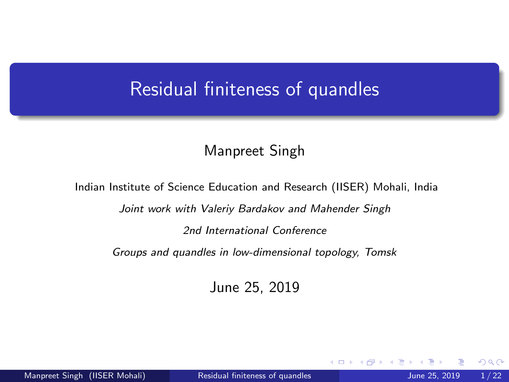# <span id="page-0-0"></span>Residual finiteness of quandles

### Manpreet Singh

Indian Institute of Science Education and Research (IISER) Mohali, India

Joint work with Valeriy Bardakov and Mahender Singh

2nd International Conference

Groups and quandles in low-dimensional topology, Tomsk

June 25, 2019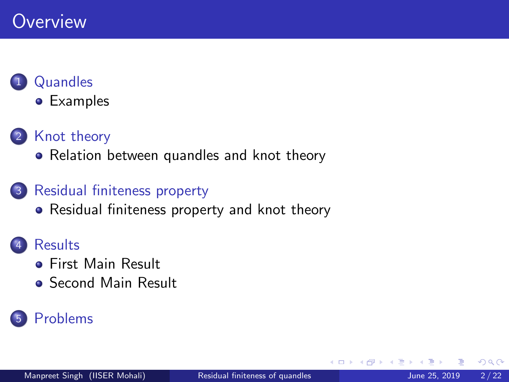# **Overview**

# **[Quandles](#page-2-0)**

**•** [Examples](#page-4-0)

# 2 [Knot theory](#page-8-0)

• [Relation between quandles and knot theory](#page-11-0)

# 3 [Residual finiteness property](#page-16-0)

• [Residual finiteness property and knot theory](#page-19-0)

# **[Results](#page-21-0)**

- **•** [First Main Result](#page-34-0)
- [Second Main Result](#page-41-0)

# **[Problems](#page-51-0)**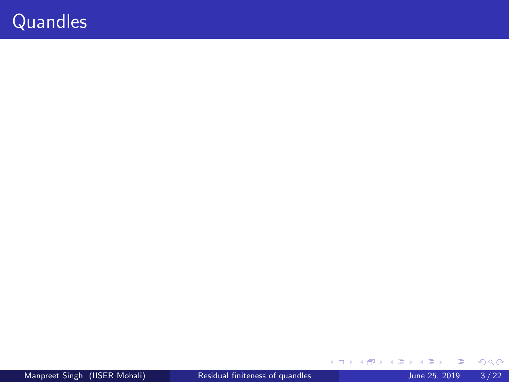# <span id="page-2-0"></span>**Quandles**

 $299$ 

イロト イ部 トイモ トイモト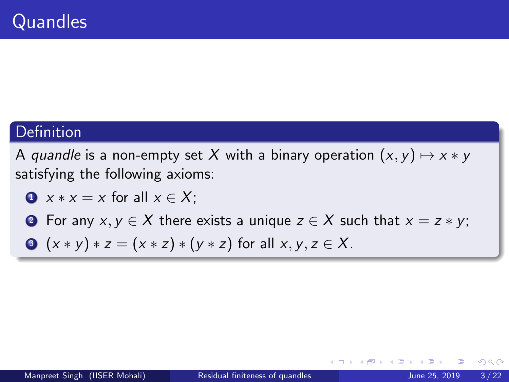# Definition

A quandle is a non-empty set X with a binary operation  $(x, y) \mapsto x * y$ satisfying the following axioms:

$$
x * x = x \text{ for all } x \in X;
$$

**2** For any  $x, y \in X$  there exists a unique  $z \in X$  such that  $x = z * y$ ;

• 
$$
(x * y) * z = (x * z) * (y * z)
$$
 for all  $x, y, z \in X$ .

4 0 8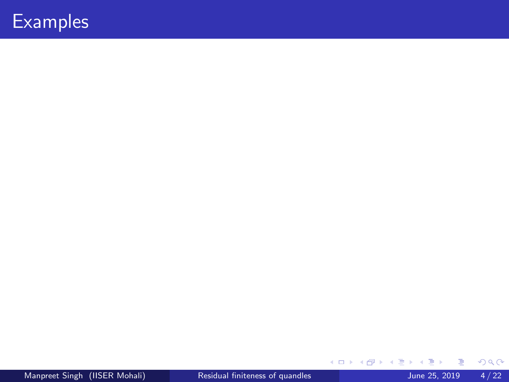$299$ 

<span id="page-4-0"></span>イロト イ部 トイモ トイモト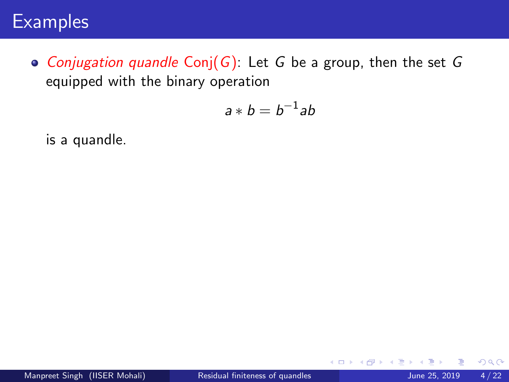• Conjugation quandle Conj( $G$ ): Let G be a group, then the set G equipped with the binary operation

$$
a * b = b^{-1}ab
$$

is a quandle.

4 D F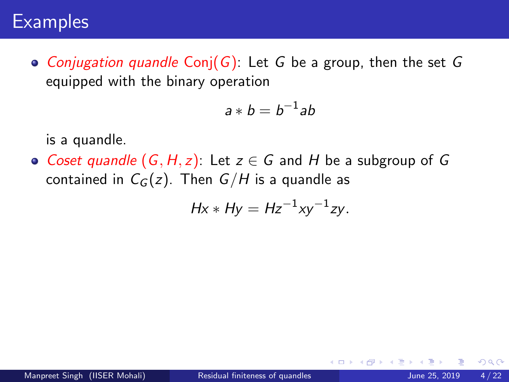• Conjugation quandle Conj(G): Let G be a group, then the set G equipped with the binary operation

$$
a * b = b^{-1}ab
$$

is a quandle.

• Coset quandle  $(G, H, z)$ : Let  $z \in G$  and H be a subgroup of G contained in  $C_G(z)$ . Then  $G/H$  is a quandle as

$$
Hx * Hy = Hz^{-1}xy^{-1}zy.
$$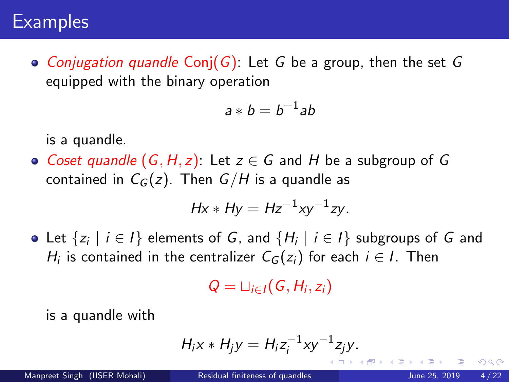• Conjugation quandle Conj(G): Let G be a group, then the set G equipped with the binary operation

$$
a * b = b^{-1}ab
$$

is a quandle.

• Coset quandle  $(G, H, z)$ : Let  $z \in G$  and H be a subgroup of G contained in  $C_G(z)$ . Then  $G/H$  is a quandle as

$$
Hx * Hy = Hz^{-1}xy^{-1}zy.
$$

Let  $\{z_i\mid i\in I\}$  elements of  $G$ , and  $\{H_i\mid i\in I\}$  subgroups of  $G$  and  $H_i$  is contained in the centralizer  $\mathcal{C}_G(z_i)$  for each  $i \in I$ . Then

$$
Q=\sqcup_{i\in I}(G,H_i,z_i)
$$

is a quandle with

$$
H_i x * H_j y = H_i z_i^{-1} x y^{-1} z_j y.
$$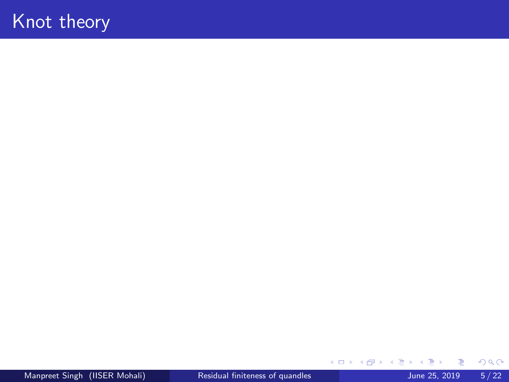# <span id="page-8-0"></span>Knot theory

Manpreet Singh (IISER Mohali) [Residual finiteness of quandles](#page-0-0) June 25, 2019 5/22

B J.  $299$ 

イロト イ御 トイミトイ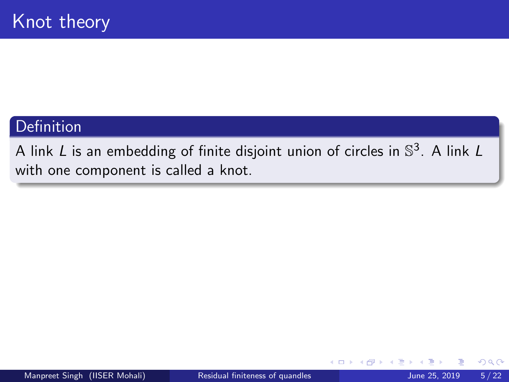### Definition

A link L is an embedding of finite disjoint union of circles in  $\mathbb{S}^3.$  A link L with one component is called a knot.

4 D F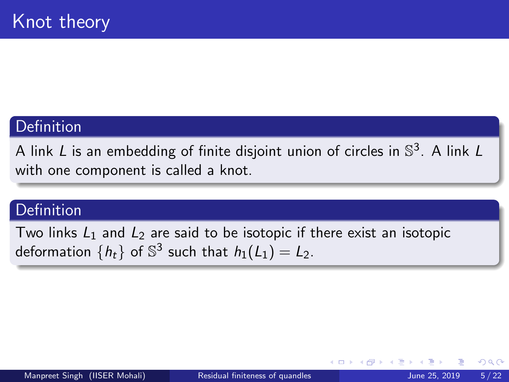### Definition

A link L is an embedding of finite disjoint union of circles in  $\mathbb{S}^3.$  A link L with one component is called a knot.

### **Definition**

Two links  $L_1$  and  $L_2$  are said to be isotopic if there exist an isotopic deformation  $\{h_t\}$  of  $\mathbb{S}^3$  such that  $h_1(L_1) = L_2$ .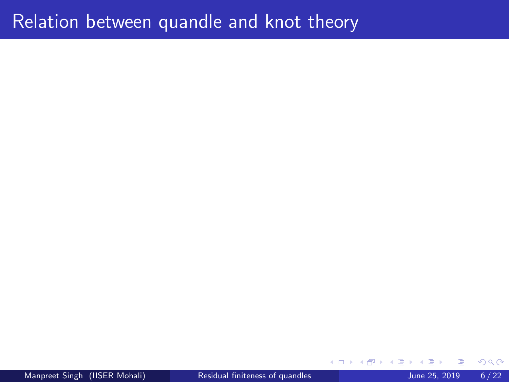# <span id="page-11-0"></span>Relation between quandle and knot theory

Manpreet Singh (IISER Mohali) [Residual finiteness of quandles](#page-0-0) June 25, 2019 6/22

4 D F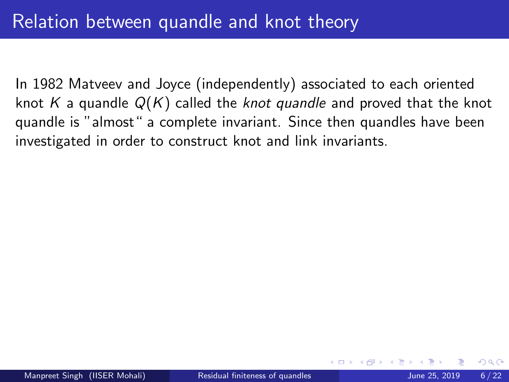In 1982 Matveev and Joyce (independently) associated to each oriented knot K a quandle  $Q(K)$  called the knot quandle and proved that the knot quandle is "almost" a complete invariant. Since then quandles have been investigated in order to construct knot and link invariants.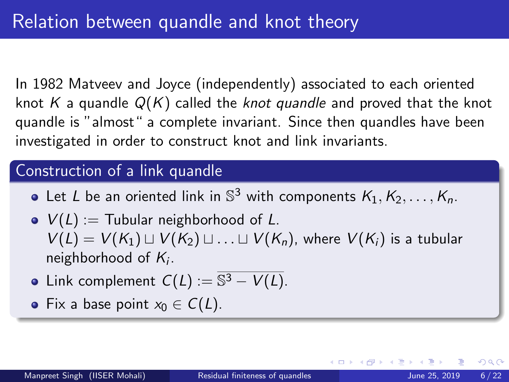In 1982 Matveev and Joyce (independently) associated to each oriented knot K a quandle  $Q(K)$  called the knot quandle and proved that the knot quandle is "almost" a complete invariant. Since then quandles have been investigated in order to construct knot and link invariants.

### Construction of a link quandle

- Let L be an oriented link in  $\mathbb{S}^3$  with components  $\mathcal{K}_1, \mathcal{K}_2, \ldots, \mathcal{K}_n$ .
- $V(L) :=$  Tubular neighborhood of L.  $V(L) = V(K_1) \sqcup V(K_2) \sqcup \ldots \sqcup V(K_n)$ , where  $V(K_i)$  is a tubular neighborhood of  $K_i$ .
- Link complement  $C(L) := \overline{\mathbb{S}^3 V(L)}$ .
- Fix a base point  $x_0 \in C(L)$ .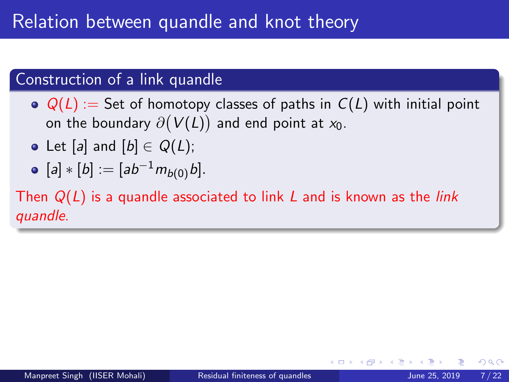# Construction of a link quandle

 $\odot$   $Q(L) :=$  Set of homotopy classes of paths in  $C(L)$  with initial point on the boundary  $\partial\bigl(V(L)\bigr)$  and end point at  $\mathsf{x}_0.$ 

- Let [a] and  $[b] \in Q(L)$ ;
- $[a] * [b] := [ab^{-1}m_{b(0)}b].$

Then  $Q(L)$  is a quandle associated to link L and is known as the *link* quandle.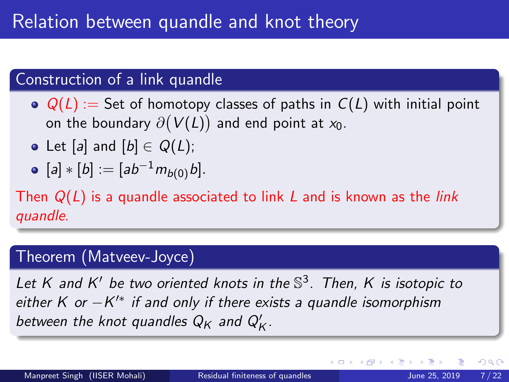# Construction of a link quandle

 $\odot$   $Q(L) :=$  Set of homotopy classes of paths in  $C(L)$  with initial point on the boundary  $\partial\bigl(V(L)\bigr)$  and end point at  $\mathsf{x}_0.$ 

- Let [a] and  $[b] \in Q(L)$ ;
- [a]  $*$  [b] := [ab<sup>-1</sup> $m_{b(0)}$ b].

Then  $Q(L)$  is a quandle associated to link L and is known as the *link* quandle.

# Theorem (Matveev-Joyce)

Let K and K' be two oriented knots in the  $\mathbb{S}^3$ . Then, K is isotopic to either K or  $-K'^*$  if and only if there exists a quandle isomorphism between the knot quandles  $Q_K$  and  $Q_K^{\prime}$ .

4 D F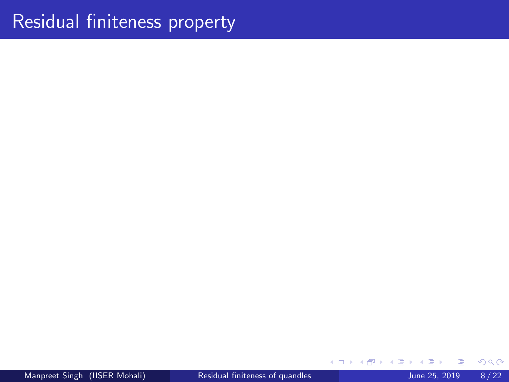# <span id="page-16-0"></span>Residual finiteness property

**K ロ ▶ K 倒 ▶** 

 $\mathcal{A}$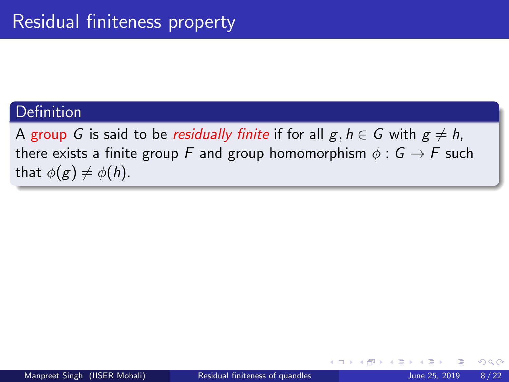### Definition

A group G is said to be residually finite if for all  $g, h \in G$  with  $g \neq h$ , there exists a finite group F and group homomorphism  $\phi : G \to F$  such that  $\phi(g) \neq \phi(h)$ .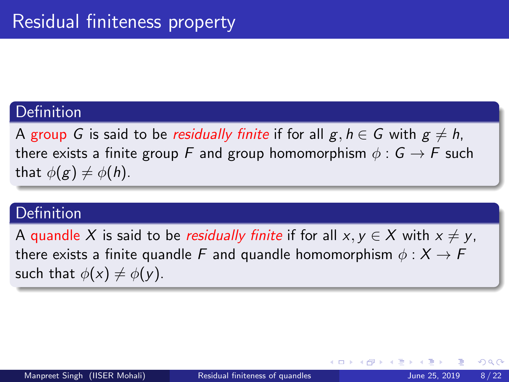### **Definition**

A group G is said to be residually finite if for all  $g, h \in G$  with  $g \neq h$ , there exists a finite group F and group homomorphism  $\phi : G \to F$  such that  $\phi(g) \neq \phi(h)$ .

### **Definition**

A quandle X is said to be *residually finite* if for all  $x, y \in X$  with  $x \neq y$ , there exists a finite quandle F and quandle homomorphism  $\phi: X \to F$ such that  $\phi(x) \neq \phi(y)$ .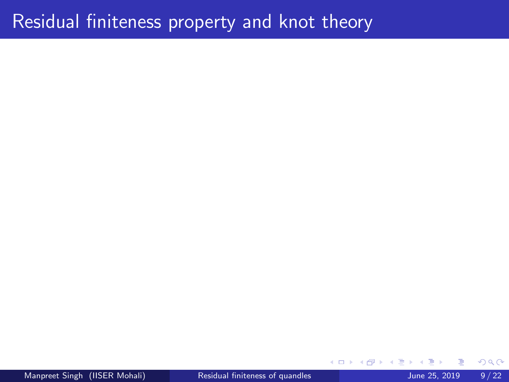# <span id="page-19-0"></span>Residual finiteness property and knot theory

4 D F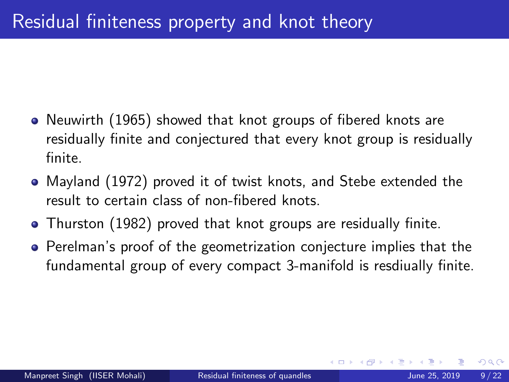- Neuwirth (1965) showed that knot groups of fibered knots are residually finite and conjectured that every knot group is residually finite.
- Mayland (1972) proved it of twist knots, and Stebe extended the result to certain class of non-fibered knots.
- Thurston (1982) proved that knot groups are residually finite.
- **•** Perelman's proof of the geometrization conjecture implies that the fundamental group of every compact 3-manifold is resdiually finite.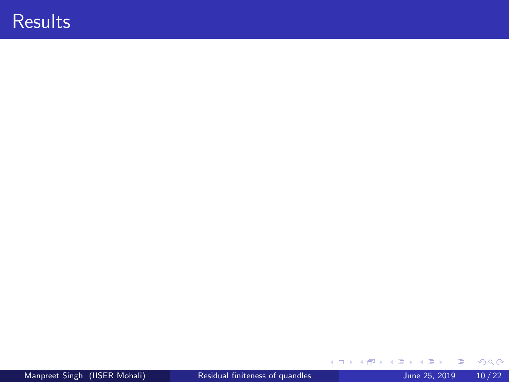# <span id="page-21-0"></span>**Results**

 $2990$ 

イロト イ部 トイヨ トイヨト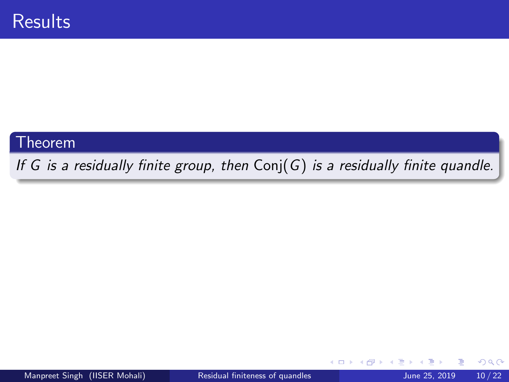#### **Theorem**

If G is a residually finite group, then  $Conj(G)$  is a residually finite quandle.

4 D F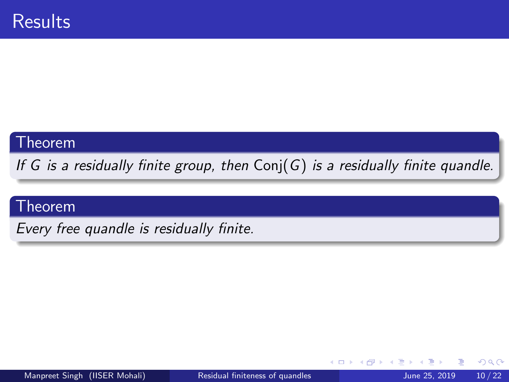#### Theorem

If G is a residually finite group, then  $Conj(G)$  is a residually finite quandle.

### Theorem

Every free quandle is residually finite.

4 0 8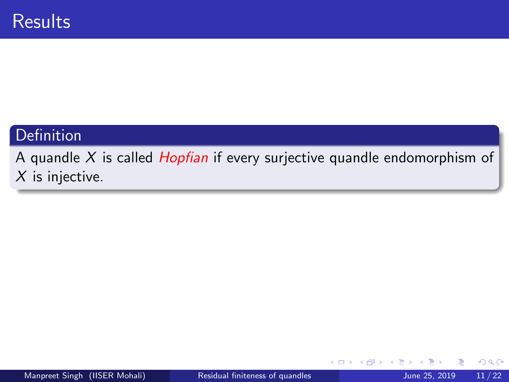# Definition

A quandle  $X$  is called *Hopfian* if every surjective quandle endomorphism of  $X$  is injective.

4 **D**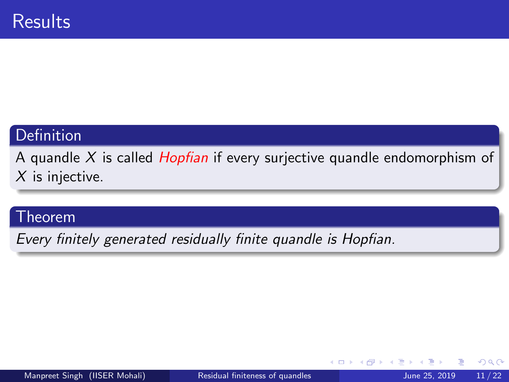# Definition

A quandle X is called *Hopfian* if every surjective quandle endomorphism of  $X$  is injective.

#### **Theorem**

Every finitely generated residually finite quandle is Hopfian.

4 0 8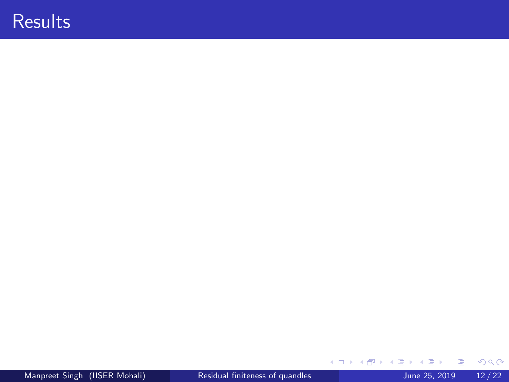# **Results**

 $2990$ 

イロト イ部 トイヨ トイヨト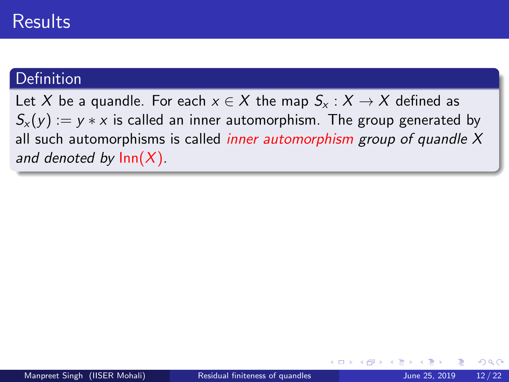# **Results**

### **Definition**

Let X be a quandle. For each  $x \in X$  the map  $S_x : X \to X$  defined as  $S_x(y) := y * x$  is called an inner automorphism. The group generated by all such automorphisms is called *inner automorphism group of quandle X* and denoted by  $Inn(X)$ .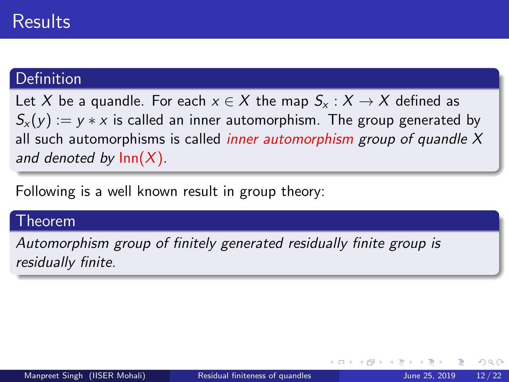### **Definition**

Let X be a quandle. For each  $x \in X$  the map  $S_x : X \to X$  defined as  $S_{x}(y) := y * x$  is called an inner automorphism. The group generated by all such automorphisms is called *inner automorphism group of quandle X* and denoted by  $\text{Inn}(X)$ .

Following is a well known result in group theory:

#### Theorem

Automorphism group of finitely generated residually finite group is residually finite.

4 D F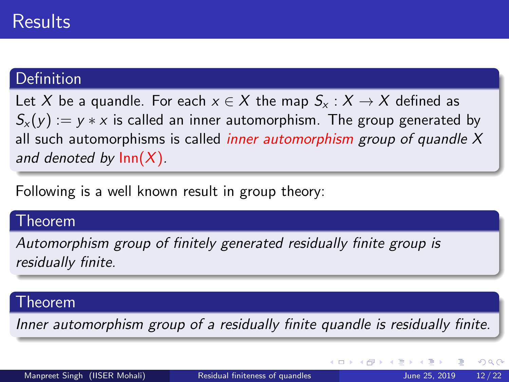### **Definition**

Let X be a quandle. For each  $x \in X$  the map  $S_x : X \to X$  defined as  $S_{x}(y) := y * x$  is called an inner automorphism. The group generated by all such automorphisms is called *inner automorphism group of quandle X* and denoted by  $\text{Inn}(X)$ .

Following is a well known result in group theory:

#### Theorem

Automorphism group of finitely generated residually finite group is residually finite.

#### Theorem

Inner automorphism group of a residually finite quandle is residually finite.

 $QQ$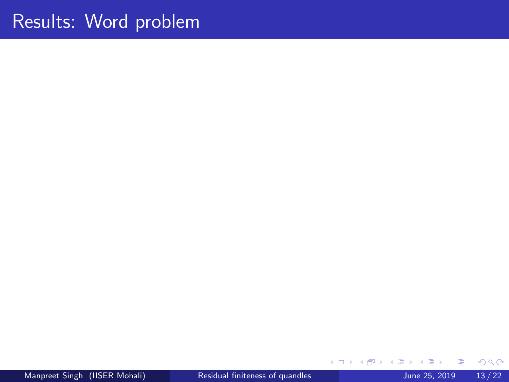# Results: Word problem

≃

**K ロ ▶ K 母 ▶ K**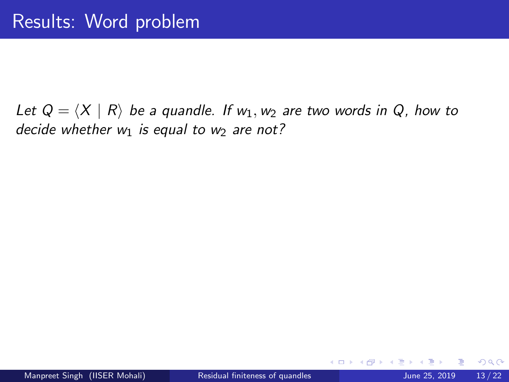Let  $Q = \langle X | R \rangle$  be a quandle. If  $w_1, w_2$  are two words in Q, how to decide whether  $w_1$  is equal to  $w_2$  are not?

4 0 8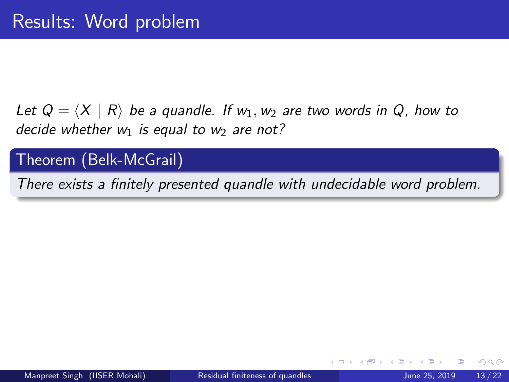Let  $Q = \langle X | R \rangle$  be a quandle. If  $w_1, w_2$  are two words in Q, how to decide whether  $w_1$  is equal to  $w_2$  are not?

### Theorem (Belk-McGrail)

There exists a finitely presented quandle with undecidable word problem.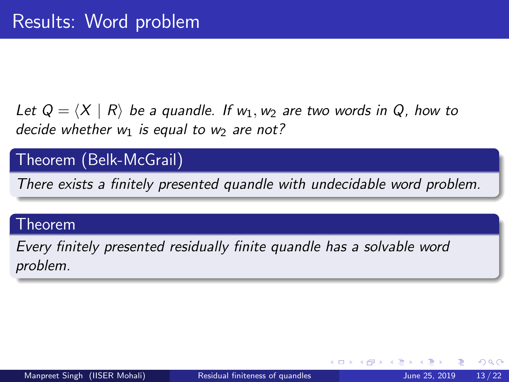Let  $Q = \langle X | R \rangle$  be a quandle. If  $w_1, w_2$  are two words in Q, how to decide whether  $w_1$  is equal to  $w_2$  are not?

# Theorem (Belk-McGrail)

There exists a finitely presented quandle with undecidable word problem.

#### Theorem

Every finitely presented residually finite quandle has a solvable word problem.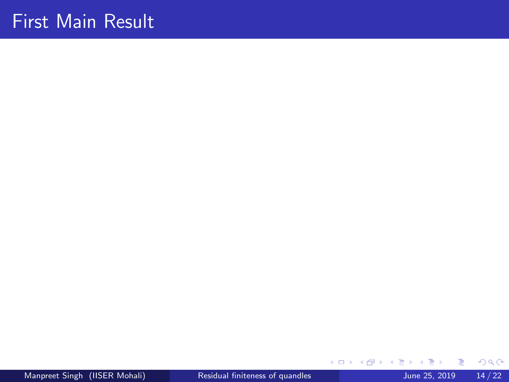<span id="page-34-0"></span>Manpreet Singh (IISER Mohali) [Residual finiteness of quandles](#page-0-0) June 25, 2019 14/22

E

э  $\sim$  $\mathcal{A}$  .

**K ロ ▶ K 伊 ▶ K**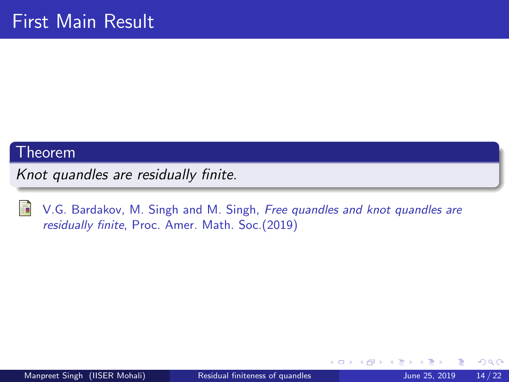#### Theorem

Knot quandles are residually finite.



V.G. Bardakov, M. Singh and M. Singh, Free quandles and knot quandles are residually finite, Proc. Amer. Math. Soc.(2019)

 $\leftarrow$   $\Box$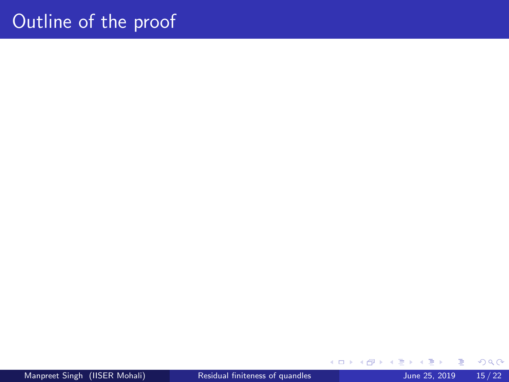Manpreet Singh (IISER Mohali) [Residual finiteness of quandles](#page-0-0) June 25, 2019 15/22

E

**∢ ロ ≯ ∢ 伊 ≯** 

 $\rightarrow$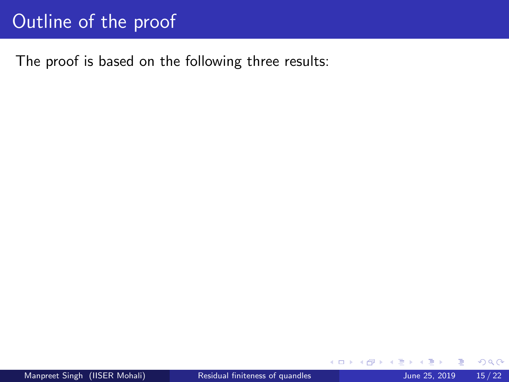The proof is based on the following three results:

4 0 F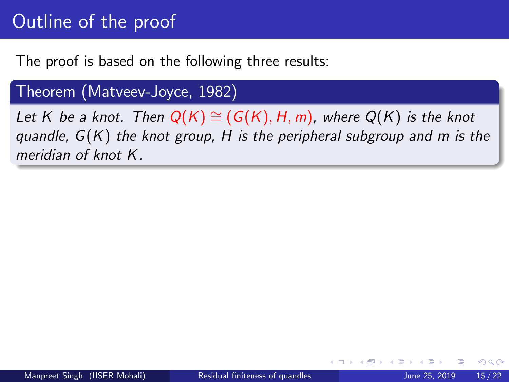The proof is based on the following three results:

### Theorem (Matveev-Joyce, 1982)

Let K be a knot. Then  $Q(K) \cong (G(K), H, m)$ , where  $Q(K)$  is the knot quandle,  $G(K)$  the knot group, H is the peripheral subgroup and m is the meridian of knot K.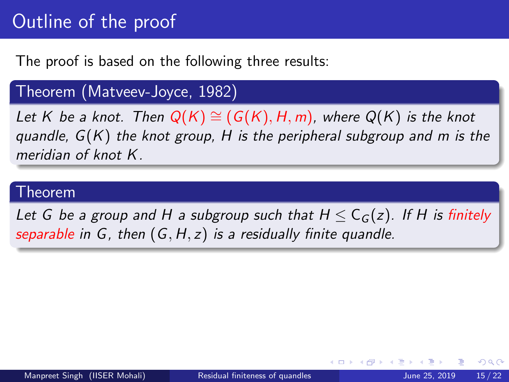The proof is based on the following three results:

Theorem (Matveev-Joyce, 1982)

Let K be a knot. Then  $Q(K) \cong (G(K), H, m)$ , where  $Q(K)$  is the knot quandle,  $G(K)$  the knot group, H is the peripheral subgroup and m is the meridian of knot K.

#### Theorem

Let G be a group and H a subgroup such that  $H \leq C_G(z)$ . If H is finitely separable in G, then  $(G, H, z)$  is a residually finite quandle.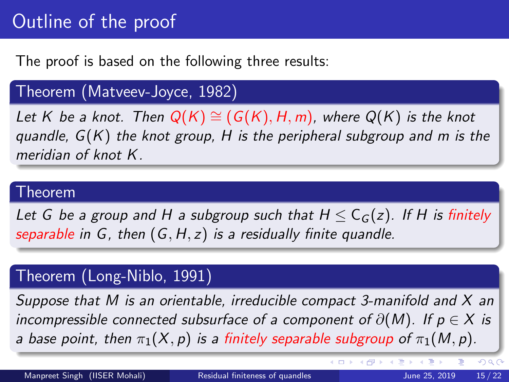The proof is based on the following three results:

### Theorem (Matveev-Joyce, 1982)

Let K be a knot. Then  $Q(K) \cong (G(K), H, m)$ , where  $Q(K)$  is the knot quandle,  $G(K)$  the knot group, H is the peripheral subgroup and m is the meridian of knot K.

#### Theorem

Let G be a group and H a subgroup such that  $H \leq C_G(z)$ . If H is finitely separable in  $G$ , then  $(G, H, z)$  is a residually finite quandle.

# Theorem (Long-Niblo, 1991)

Suppose that M is an orientable, irreducible compact 3-manifold and  $X$  an incompressible connected subsurface of a component of  $\partial(M)$ . If  $p \in X$  is a base point, then  $\pi_1(X, p)$  is a finitely separable subgroup of  $\pi_1(M, p)$ .

 $QQ$ 

**K ロ ト K 御 ト K 差 ト K 差**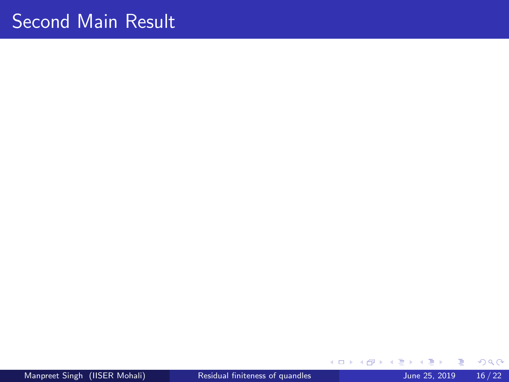# <span id="page-41-0"></span>Second Main Result

Manpreet Singh (IISER Mohali) [Residual finiteness of quandles](#page-0-0) June 25, 2019 16/22

E

э ×

**K ロ ト K 伊 ト K**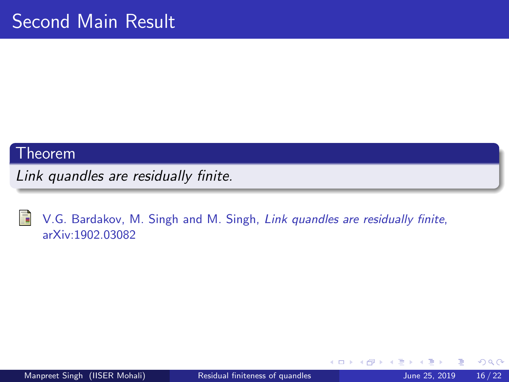#### Theorem

Link quandles are residually finite.



V.G. Bardakov, M. Singh and M. Singh, Link quandles are residually finite, arXiv:1902.03082

4 0 8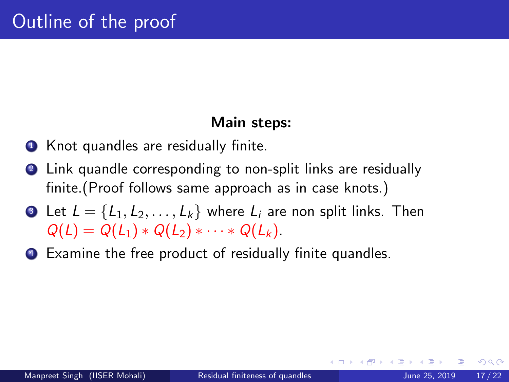### Main steps:

- **1** Knot quandles are residually finite.
- 2 Link quandle corresponding to non-split links are residually finite.(Proof follows same approach as in case knots.)
- **3** Let  $L = \{L_1, L_2, \ldots, L_k\}$  where  $L_i$  are non split links. Then  $Q(L) = Q(L_1) * Q(L_2) * \cdots * Q(L_k).$
- <sup>4</sup> Examine the free product of residually finite quandles.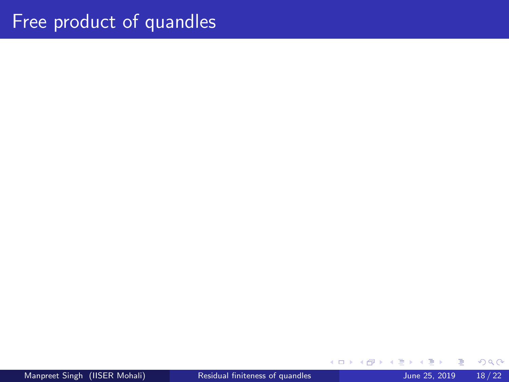**← ロ → → ← 何 →**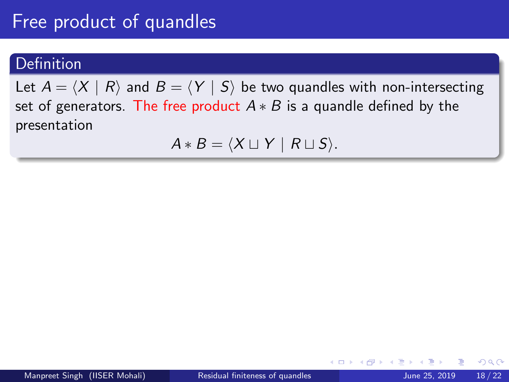### **Definition**

Let  $A = \langle X | R \rangle$  and  $B = \langle Y | S \rangle$  be two quandles with non-intersecting set of generators. The free product  $A * B$  is a quandle defined by the presentation

$$
A * B = \langle X \sqcup Y \mid R \sqcup S \rangle.
$$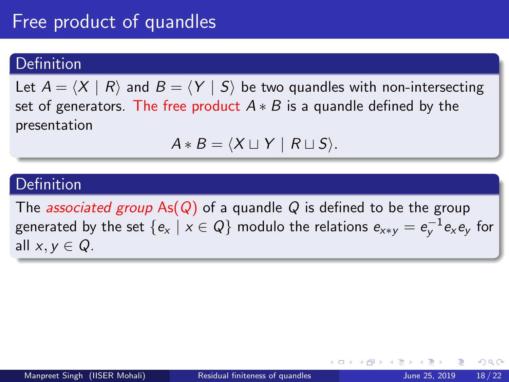### **Definition**

Let  $A = \langle X | R \rangle$  and  $B = \langle Y | S \rangle$  be two quandles with non-intersecting set of generators. The free product  $A * B$  is a quandle defined by the presentation

$$
A * B = \langle X \sqcup Y \mid R \sqcup S \rangle.
$$

### Definition

The *associated group* As( $Q$ ) of a quandle  $Q$  is defined to be the group generated by the set  $\{e_{\sf x}\mid{\sf x}\in{\sf Q}\}$  modulo the relations  $e_{{\sf x}*\sf y}=e_{\sf y}^{-1}e_{\sf x}e_{\sf y}$  for all  $x, y \in Q$ .

つへへ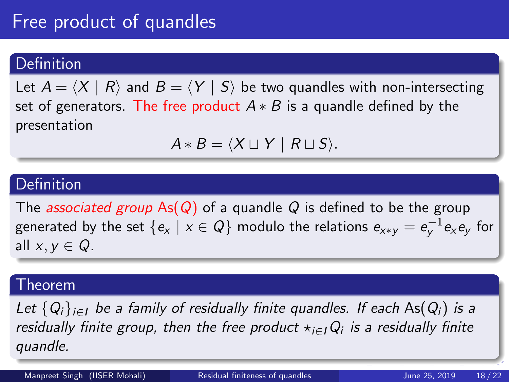### **Definition**

Let  $A = \langle X | R \rangle$  and  $B = \langle Y | S \rangle$  be two quandles with non-intersecting set of generators. The free product  $A * B$  is a quandle defined by the presentation

$$
A * B = \langle X \sqcup Y \mid R \sqcup S \rangle.
$$

### Definition

The *associated group* As( $Q$ ) of a quandle  $Q$  is defined to be the group generated by the set  $\{e_{\sf x}\mid{\sf x}\in{\sf Q}\}$  modulo the relations  $e_{{\sf x}*\sf y}=e_{\sf y}^{-1}e_{\sf x}e_{\sf y}$  for all  $x, y \in Q$ .

#### Theorem

Let  ${Q_i}_{i \in I}$  be a family of residually finite quandles. If each As( $Q_i$ ) is a residually finite group, then the free product  $\star_{i\in I}Q_i$  is a residually finite quandle.

Manpreet Singh (IISER Mohali) [Residual finiteness of quandles](#page-0-0) June 25, 2019 18/22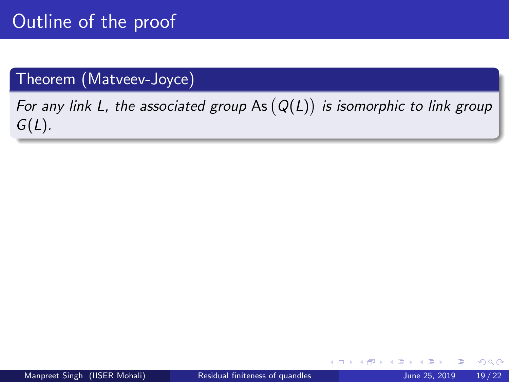### Theorem (Matveev-Joyce)

For any link L, the associated group As  $(Q(L))$  is isomorphic to link group  $G(L)$ .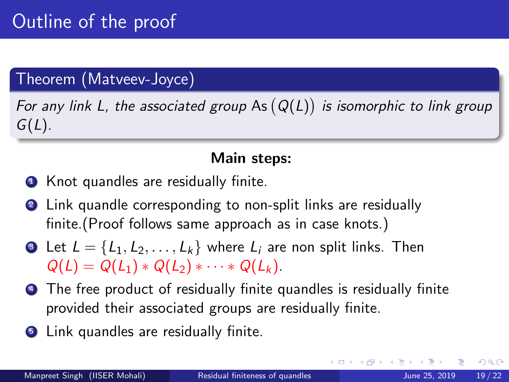# Theorem (Matveev-Joyce)

For any link L, the associated group As  $(Q(L))$  is isomorphic to link group  $G(L)$ .

### Main steps:

- **1** Knot quandles are residually finite.
- 2 Link quandle corresponding to non-split links are residually finite.(Proof follows same approach as in case knots.)
- **3** Let  $L = \{L_1, L_2, \ldots, L_k\}$  where  $L_i$  are non split links. Then  $Q(L) = Q(L_1) * Q(L_2) * \cdots * Q(L_k).$
- **4** The free product of residually finite quandles is residually finite provided their associated groups are residually finite.
- **5** Link quandles are residually finite.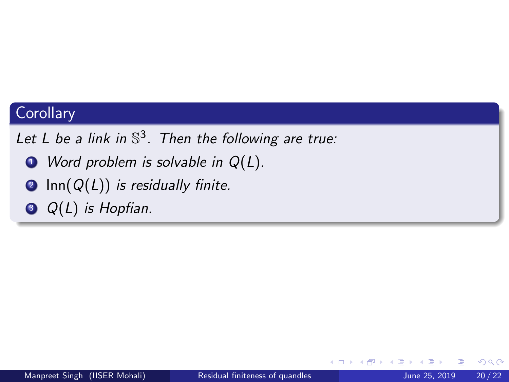### **Corollary**

Let L be a link in  $\mathbb{S}^3$ . Then the following are true:

- $\bullet$  Word problem is solvable in  $Q(L)$ .
- **2** Inn( $Q(L)$ ) is residually finite.
- $\odot$  Q(L) is Hopfian.

4 **D**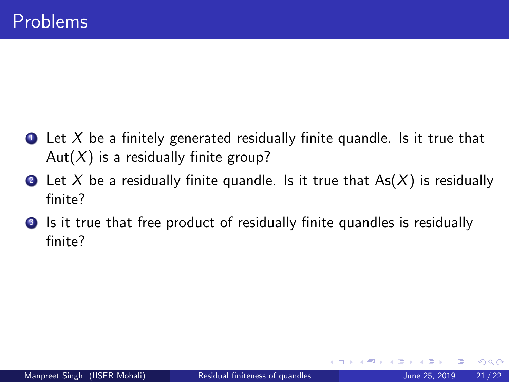- <span id="page-51-0"></span> $\bullet$  Let X be a finitely generated residually finite quandle. Is it true that Aut( $X$ ) is a residually finite group?
- **2** Let X be a residually finite quandle. Is it true that  $As(X)$  is residually finite?
- **3** Is it true that free product of residually finite quandles is residually finite?